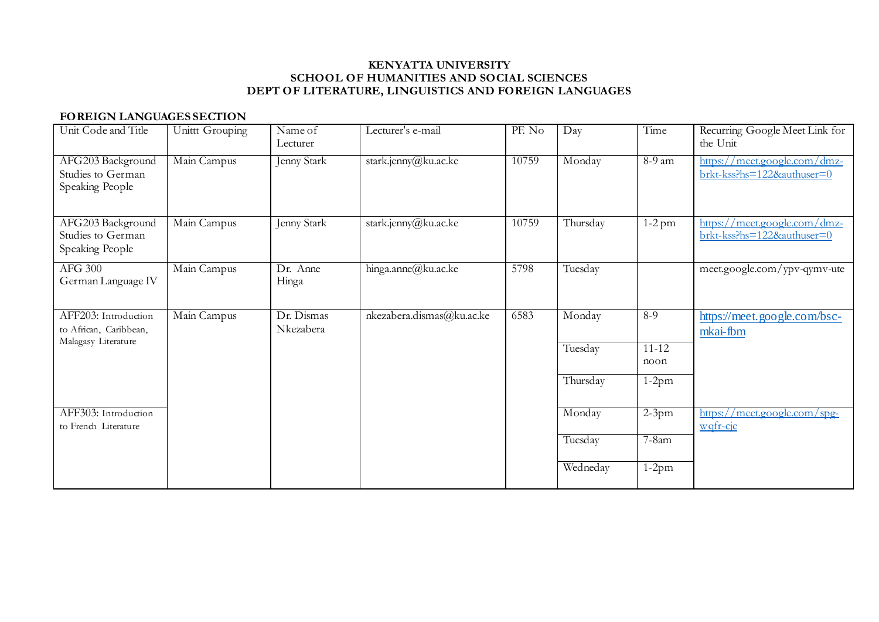# **FOREIGN LANGUAGES SECTION**

| Unit Code and Title                                       | Unittt Grouping | Name of<br>Lecturer     | Lecturer's e-mail         | PF. No | Day      | Time              | Recurring Google Meet Link for<br>the Unit                                                        |
|-----------------------------------------------------------|-----------------|-------------------------|---------------------------|--------|----------|-------------------|---------------------------------------------------------------------------------------------------|
| AFG203 Background<br>Studies to German<br>Speaking People | Main Campus     | <b>Jenny Stark</b>      | stark.jenny@ku.ac.ke      | 10759  | Monday   | $8-9$ am          | $\frac{https://meet.google.com/dmz-}{https://meet.google.com/dmz-}$<br>brkt-kss?hs=122&authuser=0 |
| AFG203 Background<br>Studies to German<br>Speaking People | Main Campus     | Jenny Stark             | stark.jenny@ku.ac.ke      | 10759  | Thursday | $1-2$ pm          | https://meet.google.com/dmz-<br>brkt-kss?hs=122&authuser=0                                        |
| AFG 300<br>German Language IV                             | Main Campus     | Dr. Anne<br>Hinga       | hinga.anne@ku.ac.ke       | 5798   | Tuesday  |                   | meet.google.com/ypv-qymv-ute                                                                      |
| AFF203: Introduction<br>to African, Caribbean,            | Main Campus     | Dr. Dismas<br>Nkezabera | nkezabera.dismas@ku.ac.ke | 6583   | Monday   | $8-9$             | https://meet.google.com/bsc-<br>mkai-fbm                                                          |
| Malagasy Literature                                       |                 |                         |                           |        | Tuesday  | $11 - 12$<br>noon |                                                                                                   |
|                                                           |                 |                         |                           |        | Thursday | $1-2pm$           |                                                                                                   |
| AFF303: Introduction<br>to French Literature              |                 |                         |                           |        | Monday   | $2-3$ pm          | https://meet.google.com/spg-<br>wqfr-cje                                                          |
|                                                           |                 |                         |                           |        | Tuesday  | $7 - 8$ am        |                                                                                                   |
|                                                           |                 |                         |                           |        | Wedneday | $1-2pm$           |                                                                                                   |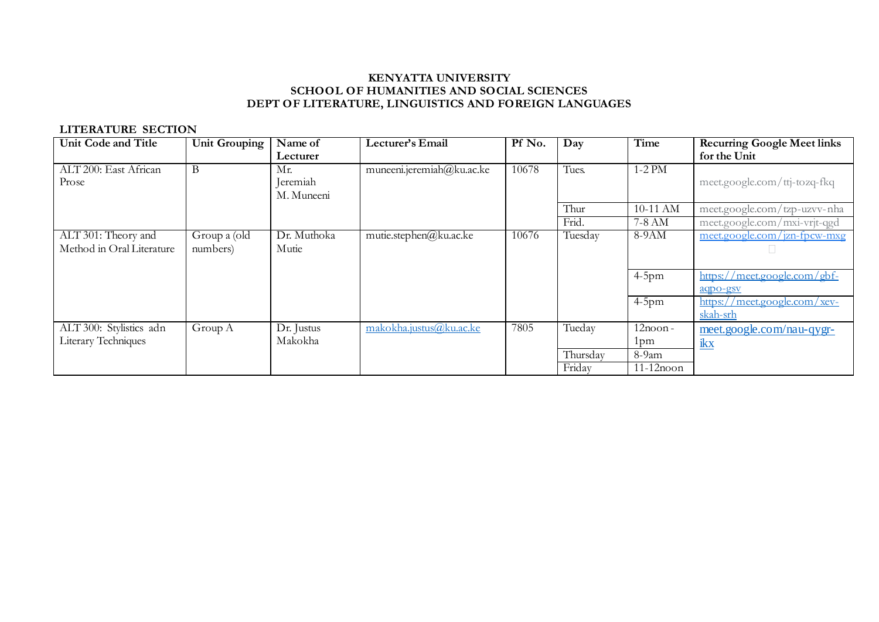## **LITERATURE SECTION**

| <b>Unit Code and Title</b> | <b>Unit Grouping</b> | Name of     | Lecturer's Email          | Pf No. | Day      | Time         | <b>Recurring Google Meet links</b> |
|----------------------------|----------------------|-------------|---------------------------|--------|----------|--------------|------------------------------------|
|                            |                      | Lecturer    |                           |        |          |              | for the Unit                       |
| ALT 200: East African      | B                    | Mr.         | muneeni.jeremiah@ku.ac.ke | 10678  | Tues.    | $1-2$ PM     |                                    |
| Prose                      |                      | Jeremiah    |                           |        |          |              | meet.google.com/ttj-tozq-fkq       |
|                            |                      | M. Muneeni  |                           |        |          |              |                                    |
|                            |                      |             |                           |        | Thur     | 10-11 AM     | meet.google.com/tzp-uzvv-nha       |
|                            |                      |             |                           |        | Frid.    | 7-8 AM       | meet.google.com/mxi-vrjt-qgd       |
| ALT 301: Theory and        | Group a (old         | Dr. Muthoka | mutie.stephen@ku.ac.ke    | 10676  | Tuesday  | $8-9AM$      | meet.google.com/jzn-fpcw-mxg       |
| Method in Oral Literature  | numbers)             | Mutie       |                           |        |          |              |                                    |
|                            |                      |             |                           |        |          |              |                                    |
|                            |                      |             |                           |        |          | $4-5$ pm     | https://meet.google.com/gbf-       |
|                            |                      |             |                           |        |          |              | aqpo-gsy                           |
|                            |                      |             |                           |        |          | $4-5$ pm     | https://meet.google.com/xev-       |
|                            |                      |             |                           |        |          |              | skah-srh                           |
| ALT 300: Stylistics adn    | Group A              | Dr. Justus  | makokha.justus@ku.ac.ke   | 7805   | Tueday   | $12$ noon-   | meet.google.com/nau-qygr-          |
| Literary Techniques        |                      | Makokha     |                           |        |          | 1pm          | ikx                                |
|                            |                      |             |                           |        | Thursday | 8-9am        |                                    |
|                            |                      |             |                           |        | Friday   | $11-12$ noon |                                    |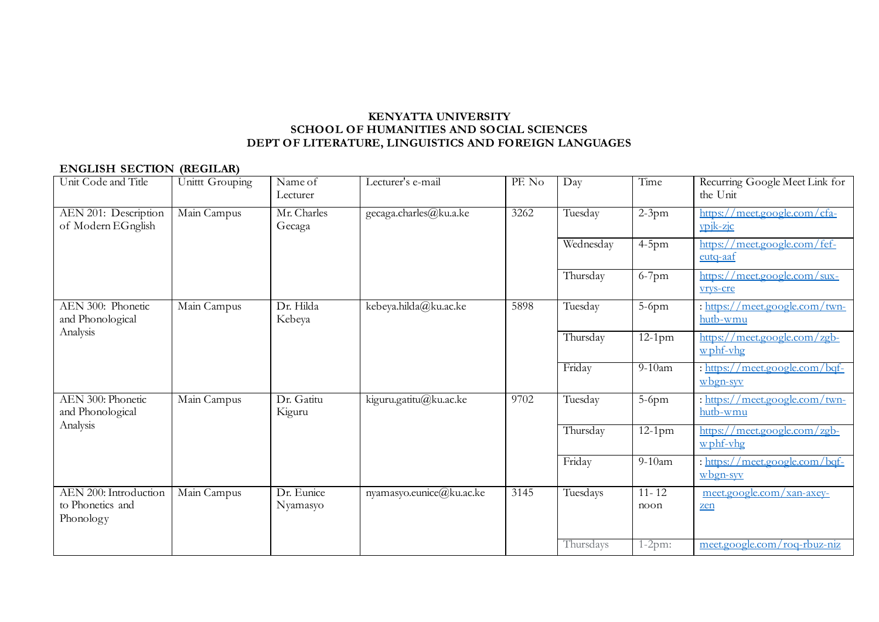## **ENGLISH SECTION (REGILAR)**

| Unit Code and Title                                    | Unittt Grouping | Name of<br>Lecturer    | Lecturer's e-mail        | PF. No | Day       | Time              | Recurring Google Meet Link for<br>the Unit              |
|--------------------------------------------------------|-----------------|------------------------|--------------------------|--------|-----------|-------------------|---------------------------------------------------------|
| AEN 201: Description<br>of Modern EGnglish             | Main Campus     | Mr. Charles<br>Gecaga  | gecaga.charles@ku.a.ke   | 3262   | Tuesday   | $2-3pm$           | https://meet.google.com/cfa-<br>ypjk-zjc                |
|                                                        |                 |                        |                          |        | Wednesday | $4-5$ pm          | https://meet.google.com/fef-<br>eutq-aaf                |
|                                                        |                 |                        |                          |        | Thursday  | $6-7$ pm          | https://meet.google.com/sux-<br>vrys-cre                |
| AEN 300: Phonetic<br>and Phonological                  | Main Campus     | Dr. Hilda<br>Kebeya    | kebeya.hilda@ku.ac.ke    | 5898   | Tuesday   | $5-6$ pm          | : https://meet.google.com/twn-<br>hutb-wmu              |
| Analysis                                               |                 |                        |                          |        | Thursday  | $12-1$ pm         | https://meet.google.com/zgb-<br>$w$ phf-vhg             |
|                                                        |                 |                        |                          |        | Friday    | $9-10$ am         | : https://meet.google.com/bqf-<br>$w$ bgn-syv           |
| AEN 300: Phonetic<br>and Phonological                  | Main Campus     | Dr. Gatitu<br>Kiguru   | kiguru.gatitu@ku.ac.ke   | 9702   | Tuesday   | 5-6pm             | : https://meet.google.com/twn-<br>hutb-wmu              |
| Analysis                                               |                 |                        |                          |        | Thursday  | $12-1$ pm         | <u>/meet.google.com/zgb-</u><br>https://<br>$w$ phf-vhg |
|                                                        |                 |                        |                          |        | Friday    | $9-10$ am         | : https://meet.google.com/bqf-<br>$w$ bgn-syv           |
| AEN 200: Introduction<br>to Phonetics and<br>Phonology | Main Campus     | Dr. Eunice<br>Nyamasyo | nyamasyo.eunice@ku.ac.ke | 3145   | Tuesdays  | $11 - 12$<br>noon | meet.google.com/xan-axey-<br>zen                        |
|                                                        |                 |                        |                          |        | Thursdays | $1-2pm:$          | meet.google.com/roq-rbuz-niz                            |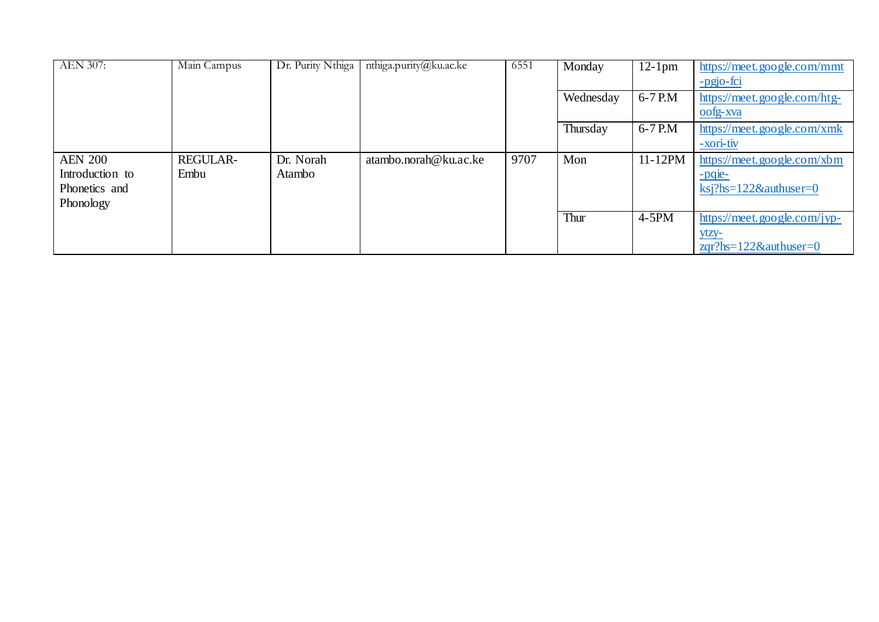| <b>AEN 307:</b>                  | Main Campus     | Dr. Purity Nthiga | nthiga.purity@ku.ac.ke | 6551 | Monday    | $12-1$ pm  | https://meet.google.com/mmt<br>-pgjo-fci        |
|----------------------------------|-----------------|-------------------|------------------------|------|-----------|------------|-------------------------------------------------|
|                                  |                 |                   |                        |      | Wednesday | 6-7 P.M    | https://meet.google.com/htg-                    |
|                                  |                 |                   |                        |      | Thursday  | $6-7$ P.M  | oofg-xva<br>https://meet.google.com/xmk         |
|                                  |                 |                   |                        |      |           |            | -xori-tiv                                       |
| <b>AEN 200</b>                   | <b>REGULAR-</b> | Dr. Norah         | atambo.norah@ku.ac.ke  | 9707 | Mon       | $11-12$ PM | https://meet.google.com/xbm                     |
| Introduction to<br>Phonetics and | Embu            | Atambo            |                        |      |           |            | $-pqe-$<br>$\text{ksi?hs}=122\&\text{author}=0$ |
| Phonology                        |                 |                   |                        |      |           |            |                                                 |
|                                  |                 |                   |                        |      | Thur      | $4-5PM$    | https://meet.google.com/jyp-                    |
|                                  |                 |                   |                        |      |           |            | $ytzy-z$<br>$zqr?hs=122&\text{authuser}=0$      |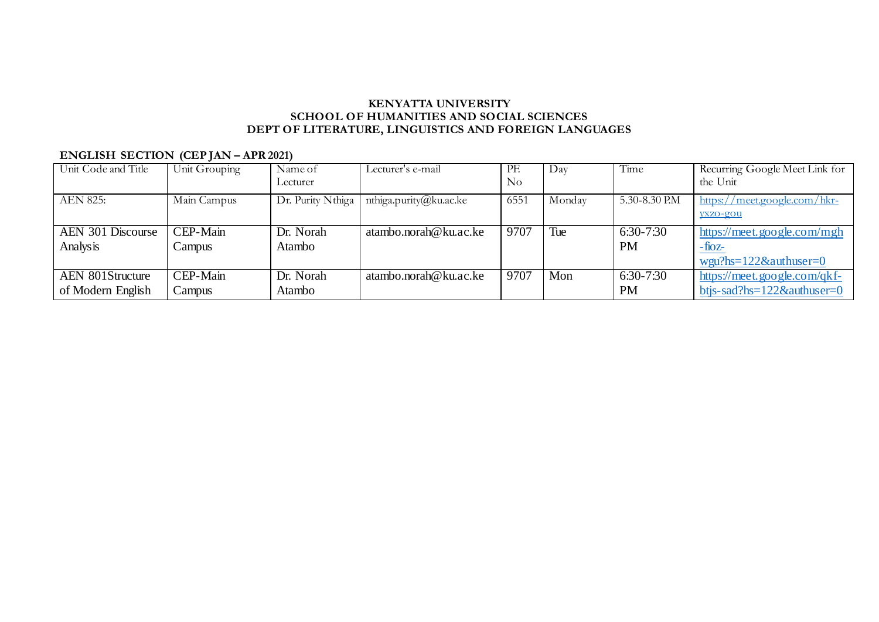# **ENGLISH SECTION (CEP JAN – APR 2021)**

| Unit Code and Title     | Unit Grouping | Name of           | Lecturer's e-mail      | PF.  | $\mathbf{D}$ ay | Time          | Recurring Google Meet Link for |
|-------------------------|---------------|-------------------|------------------------|------|-----------------|---------------|--------------------------------|
|                         |               | Lecturer          |                        | No   |                 |               | the Unit                       |
| <b>AEN 825:</b>         | Main Campus   | Dr. Purity Nthiga | nthiga.purity@ku.ac.ke | 6551 | Monday          | 5.30-8.30 P.M | https://meet.google.com/hkr-   |
|                         |               |                   |                        |      |                 |               | yxzo-gou                       |
| AEN 301 Discourse       | CEP-Main      | Dr. Norah         | atambo.norah@ku.ac.ke  | 9707 | Tue             | 6:30-7:30     | https://meet.google.com/mgh    |
| Analysis                | Campus        | Atambo            |                        |      |                 | <b>PM</b>     | $-tioz$                        |
|                         |               |                   |                        |      |                 |               | $wgu?hs=122&\alpha uthuser=0$  |
| <b>AEN 801Structure</b> | CEP-Main      | Dr. Norah         | atambo.norah@ku.ac.ke  | 9707 | Mon             | 6:30-7:30     | https://meet.google.com/qkf-   |
| of Modern English       | Campus        | Atambo            |                        |      |                 | <b>PM</b>     | btjs-sad?hs=122&authuser=0     |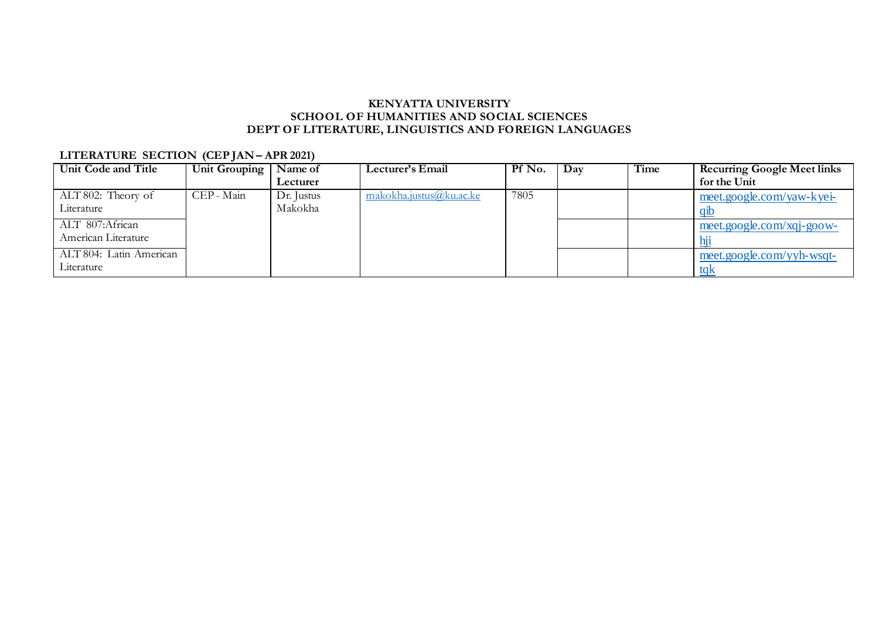# **LITERATURE SECTION (CEP JAN - APR 2021)**

| Unit Code and Title     | Unit Grouping $ $ | Name of    | Lecturer's Email        | Pf No. | Day | Time | <b>Recurring Google Meet links</b> |
|-------------------------|-------------------|------------|-------------------------|--------|-----|------|------------------------------------|
|                         |                   | Lecturer   |                         |        |     |      | for the Unit                       |
| ALT 802: Theory of      | CEP - Main        | Dr. Justus | makokha.justus@ku.ac.ke | 7805   |     |      | meet.google.com/yaw-kyei-          |
| Literature              |                   | Makokha    |                         |        |     |      | -q1t                               |
| ALT 807:African         |                   |            |                         |        |     |      | $meet.google.com/xqi-goow-$        |
| American Literature     |                   |            |                         |        |     |      | $\overline{\mathbf{h}}$            |
| ALT 804: Latin American |                   |            |                         |        |     |      | meet.google.com/yyh-wsqt-          |
| Literature              |                   |            |                         |        |     |      | tak                                |